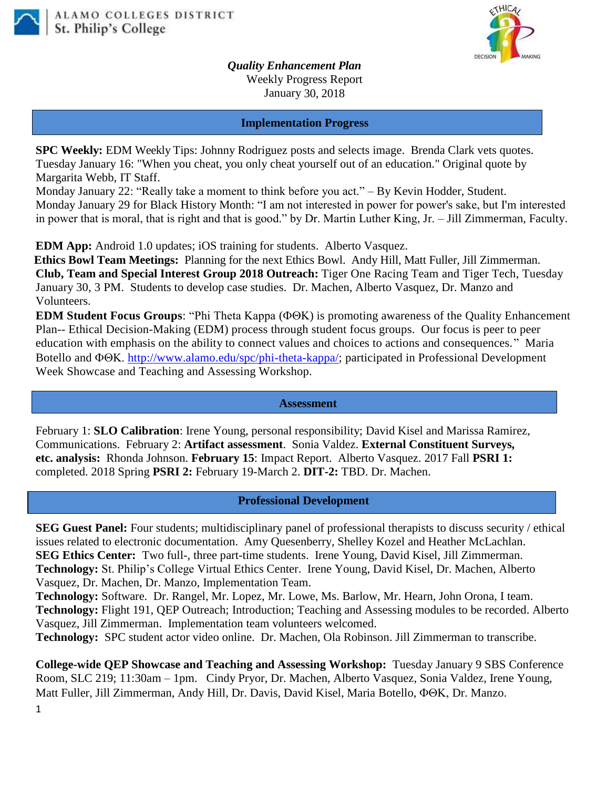



*Quality Enhancement Plan* Weekly Progress Report January 30, 2018

### **Implementation Progress**

**SPC Weekly:** EDM Weekly Tips: Johnny Rodriguez posts and selects image. Brenda Clark vets quotes. Tuesday January 16: "When you cheat, you only cheat yourself out of an education." Original quote by Margarita Webb, IT Staff.

Monday January 22: "Really take a moment to think before you act." – By Kevin Hodder, Student. Monday January 29 for Black History Month: "I am not interested in power for power's sake, but I'm interested in power that is moral, that is right and that is good." by Dr. Martin Luther King, Jr. – Jill Zimmerman, Faculty.

**EDM App:** Android 1.0 updates; iOS training for students. Alberto Vasquez.

**Ethics Bowl Team Meetings:** Planning for the next Ethics Bowl.Andy Hill, Matt Fuller, Jill Zimmerman. **Club, Team and Special Interest Group 2018 Outreach:** Tiger One Racing Team and Tiger Tech, Tuesday January 30, 3 PM. Students to develop case studies. Dr. Machen, Alberto Vasquez, Dr. Manzo and Volunteers.

**EDM Student Focus Groups:** "Phi Theta Kappa ( $\Phi \Theta K$ ) is promoting awareness of the Quality Enhancement Plan-- Ethical Decision-Making (EDM) process through student focus groups. Our focus is peer to peer education with emphasis on the ability to connect values and choices to actions and consequences." Maria Botello and  $\Phi$ OK, [http://www.alamo.edu/spc/phi-theta-kappa/;](http://www.alamo.edu/spc/phi-theta-kappa/) participated in Professional Development Week Showcase and Teaching and Assessing Workshop.

#### **Assessment**

February 1: **SLO Calibration**: Irene Young, personal responsibility; David Kisel and Marissa Ramirez, Communications. February 2: **Artifact assessment**. Sonia Valdez. **External Constituent Surveys, etc. analysis:** Rhonda Johnson. **February 15**: Impact Report. Alberto Vasquez. 2017 Fall **PSRI 1:**  completed. 2018 Spring **PSRI 2:** February 19-March 2. **DIT-2:** TBD. Dr. Machen.

### **Professional Development**

**SEG Guest Panel:** Four students; multidisciplinary panel of professional therapists to discuss security / ethical issues related to electronic documentation. Amy Quesenberry, Shelley Kozel and Heather McLachlan. **SEG Ethics Center:** Two full-, three part-time students. Irene Young, David Kisel, Jill Zimmerman. **Technology:** St. Philip's College Virtual Ethics Center. Irene Young, David Kisel, Dr. Machen, Alberto Vasquez, Dr. Machen, Dr. Manzo, Implementation Team.

**Technology:** Software. Dr. Rangel, Mr. Lopez, Mr. Lowe, Ms. Barlow, Mr. Hearn, John Orona, I team. **Technology:** Flight 191, QEP Outreach; Introduction; Teaching and Assessing modules to be recorded. Alberto Vasquez, Jill Zimmerman. Implementation team volunteers welcomed.

**Technology:** SPC student actor video online. Dr. Machen, Ola Robinson. Jill Zimmerman to transcribe.

**College-wide QEP Showcase and Teaching and Assessing Workshop:** Tuesday January 9 SBS Conference Room, SLC 219; 11:30am – 1pm. Cindy Pryor, Dr. Machen, Alberto Vasquez, Sonia Valdez, Irene Young, Matt Fuller, Jill Zimmerman, Andy Hill, Dr. Davis, David Kisel, Maria Botello,  $\Phi \Theta K$ , Dr. Manzo.